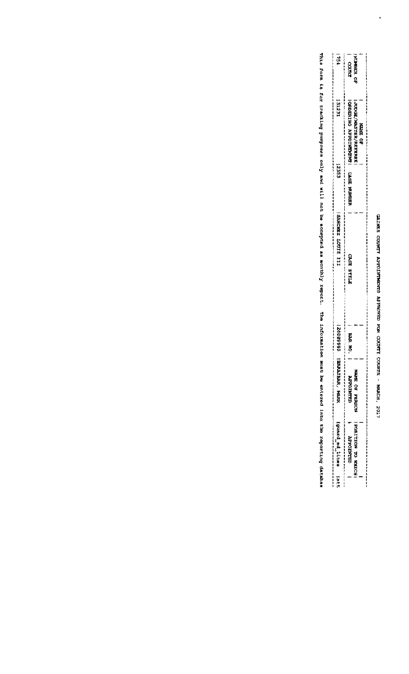## GARES CODNYY ARRUSHYMOU APPRINUS SOR CONTR CODES - MARCH, 2017

 $\ddot{\phantom{0}}$ 

| 一动物种                        |                                                                                      |                                                                                                       |
|-----------------------------|--------------------------------------------------------------------------------------|-------------------------------------------------------------------------------------------------------|
|                             | <b>ZEMBREAD</b><br>22.343                                                            |                                                                                                       |
|                             |                                                                                      |                                                                                                       |
|                             | 。"我想要要要要做的,我们的,我也不是一个人的,我也不是一个人的。"我也不是一个人的,我也不是一个人的事情,我也不是一个人的事情,我也不是一个人的,我也不是一个人的。" |                                                                                                       |
| tezie i                     |                                                                                      |                                                                                                       |
|                             |                                                                                      |                                                                                                       |
|                             | 一心ODANA/MBLS话两边/双线被进分的四<br>石石石油 心地                                                   |                                                                                                       |
|                             |                                                                                      |                                                                                                       |
|                             |                                                                                      |                                                                                                       |
| EBEZ                        | i CHOREN FAC SAACHANA HAN U UNCH AN AN HURDA                                         |                                                                                                       |
|                             |                                                                                      |                                                                                                       |
|                             |                                                                                      |                                                                                                       |
|                             |                                                                                      |                                                                                                       |
| TTE SILOT TEMPER            |                                                                                      |                                                                                                       |
|                             |                                                                                      |                                                                                                       |
|                             |                                                                                      |                                                                                                       |
|                             |                                                                                      |                                                                                                       |
|                             | 的复数网络玛利斯                                                                             |                                                                                                       |
|                             |                                                                                      |                                                                                                       |
|                             |                                                                                      |                                                                                                       |
|                             |                                                                                      |                                                                                                       |
|                             |                                                                                      |                                                                                                       |
| ☆最低低的ななど                    | 認知 300                                                                               |                                                                                                       |
|                             |                                                                                      |                                                                                                       |
| EESPAIEMA WAR               |                                                                                      |                                                                                                       |
|                             | 法投票 心地 过声发的过去式                                                                       |                                                                                                       |
|                             | <b>REMEDIATION</b>                                                                   |                                                                                                       |
|                             |                                                                                      |                                                                                                       |
|                             |                                                                                      |                                                                                                       |
| <b>Ignation to literate</b> |                                                                                      |                                                                                                       |
|                             | MANICHAY                                                                             |                                                                                                       |
|                             |                                                                                      |                                                                                                       |
|                             | <b>INCREASED MANAGERS</b>                                                            | 未要想的的发展用用于1;2月最来次事件:00000万元的时候的第三次,我们的经常不要求多少的,我们的时候,我们的时候,我们的时候,我们的时候,我们的时候,我们就会不会让我们的时候,我们就会不是我的,我们 |
| $\frac{1}{2}$               |                                                                                      |                                                                                                       |
|                             |                                                                                      |                                                                                                       |

This will probat the distribution into the collect of the same of the socially report: The indepentation is the distribution only will not the servicing the collect of the distribution in the collect of the collect of the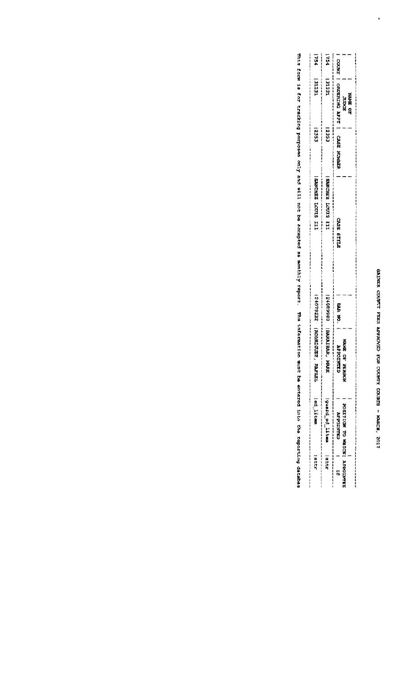$\ddot{\phantom{0}}$ 

| 医肝肾          | 一种区 记忆会的                                                                                                                                                                                                                             | <b>ROOMAGES XAWAKA</b> | 22254070          | TTY STIDST EXERCISE | 2353                         | IECIE                             | ä  |
|--------------|--------------------------------------------------------------------------------------------------------------------------------------------------------------------------------------------------------------------------------------|------------------------|-------------------|---------------------|------------------------------|-----------------------------------|----|
| <b>CELLE</b> | lguard ad 11tmm                                                                                                                                                                                                                      | FRANKLINGS. FRANK      | 12408904          | III SIOCI ZARDNES   | CSES.                        | <b>AL231</b>                      | 54 |
|              | <b>GRANTOSSY</b>                                                                                                                                                                                                                     | ŧ<br><b>COLNED</b>     | <b>CONG</b> SHIPS | 的复数网络 医样成叶属         | <b>CARRICAL MUNICIPALITY</b> | <b>COCRE I ORDERIZED REVEAL I</b> |    |
|              | <b>EXPRESS IN THE STRAIN WAS SERVED AND A STRAIN WAS SERVED ON A STRAIN WAS SERVED ON A STRAIN WAS SERVED ON A STRAIN WAS SERVED ON A STRAIN WAS SERVED ON A STRAIN WAS SERVED ON A STRAIN WAS SERVED ON A STRAIN WARRANT A STRA</b> | 委请<br><b>CP MARKED</b> |                   |                     |                              | HUDCRE                            |    |
|              |                                                                                                                                                                                                                                      |                        |                   |                     |                              | <b>NAG MAARE</b>                  |    |

This form is forthog purposes only and will not be accepted as mosthly report. The information when the information and the reportions datables dates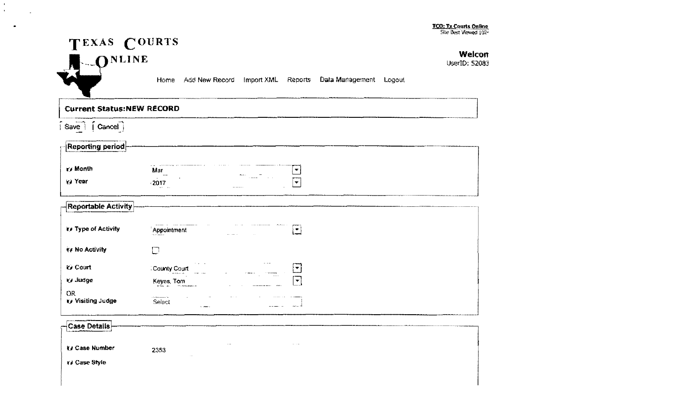Welcon

UserID: 52083



Home Add New Record Import XML Reports Data Management Logout

**Current Status:NEW RECORD** 

 $\sqrt{3}$  Save  $\sqrt{3}$   $\sqrt{3}$  Cancel

 $\mathbf{E}^{(1)}$  $\mathbf{r}$ 

 $\bullet$ 

i.

| $\lceil$ Reporting period  |                                                                                                             |
|----------------------------|-------------------------------------------------------------------------------------------------------------|
| ₹/ Month                   | Mar<br>$\overline{\mathcal{M}}$<br>$\cdots$<br>$m \sim$                                                     |
| <b>V</b> Year              | $\sim$ $ \sim$<br><b>CONTRACTOR</b><br>$\sim$<br>2017<br>$\blacktriangledown$<br>nem and<br>$- - - - - - -$ |
| <b>Reportable Activity</b> |                                                                                                             |
| ks Type of Activity        | Appointment<br>∐                                                                                            |
| ₩ No Activity              | L                                                                                                           |
| ty Court                   | $\mathbf{v}$ . And<br>the company<br>County Court<br>$\pmb{\mathbf{v}}$<br>11 SAFAFAAFAAA                   |
| ty Judge                   | $\bar{\mathbf{v}}$<br>Keyes, Tom<br>wiki in                                                                 |
| OR<br>ty Visiting Judge    | $\cdots$<br><br>1.5.5.0<br>Select<br>4.7<br><b>S. Annual</b>                                                |

| -Case Details- |                  |               |          |  |
|----------------|------------------|---------------|----------|--|
| ≹# Case Number | 2353<br>$\cdots$ | $\sim$ $\sim$ | $\cdots$ |  |
| r/ Case Style  |                  |               |          |  |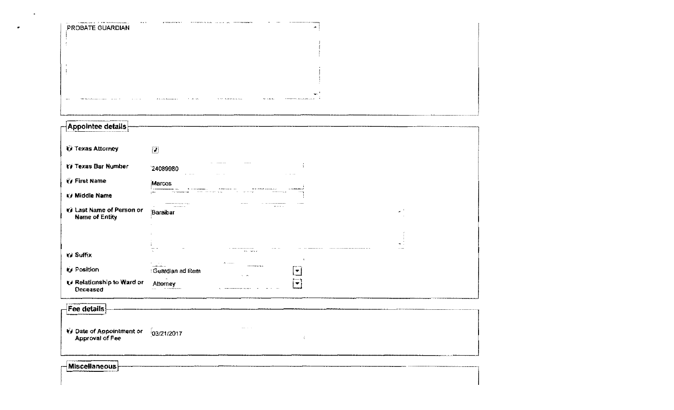| PROBATE GUARDIAN                             | j.                                                                                                |  |
|----------------------------------------------|---------------------------------------------------------------------------------------------------|--|
|                                              |                                                                                                   |  |
|                                              |                                                                                                   |  |
|                                              |                                                                                                   |  |
|                                              |                                                                                                   |  |
|                                              | <b>Since the association and</b>                                                                  |  |
|                                              |                                                                                                   |  |
|                                              |                                                                                                   |  |
| Appointee details                            |                                                                                                   |  |
| <b><i>O</i></b> Texas Attorney               | $\overline{ \mathcal{J} }$                                                                        |  |
|                                              |                                                                                                   |  |
| 17 Texas Bar Number                          | 24089980<br>$\alpha$ . $\alpha$<br>$\alpha$ , and $\alpha$                                        |  |
| <b><i>G</i></b> First Name                   | Marcos                                                                                            |  |
| <b>V</b> Middle Name                         |                                                                                                   |  |
| til Last Name of Person or<br>Name of Entity | $\mathbf{u}$ , and $\mathbf{u}$ .<br>$-$ we arrive that $\mathbf{r}$<br>$\sigma^{-1}$<br>Baraibar |  |
|                                              |                                                                                                   |  |
|                                              |                                                                                                   |  |
| V Suffix                                     | $\sigma(\mathbf{x}) = \mathbf{w}(\mathbf{x}, \mathbf{y})$                                         |  |
| v Position                                   | $\cdot$                                                                                           |  |
| te Relationship to Ward or                   | <b>Cuardian ad filem</b><br>ț₹<br>$\sim$ 100                                                      |  |
| Deceased                                     | $\left  \mathbf{v} \right $<br>Attorney                                                           |  |
| Fee details                                  |                                                                                                   |  |
|                                              |                                                                                                   |  |
| V Date of Appointment or                     | and the con-<br>03/21/2017                                                                        |  |
| Approval of Fee                              | $\frac{2}{3}$                                                                                     |  |
|                                              |                                                                                                   |  |
| $ \mathsf{Miscellaneous} $                   |                                                                                                   |  |
|                                              |                                                                                                   |  |

 $\sim$ 

 $\bullet$